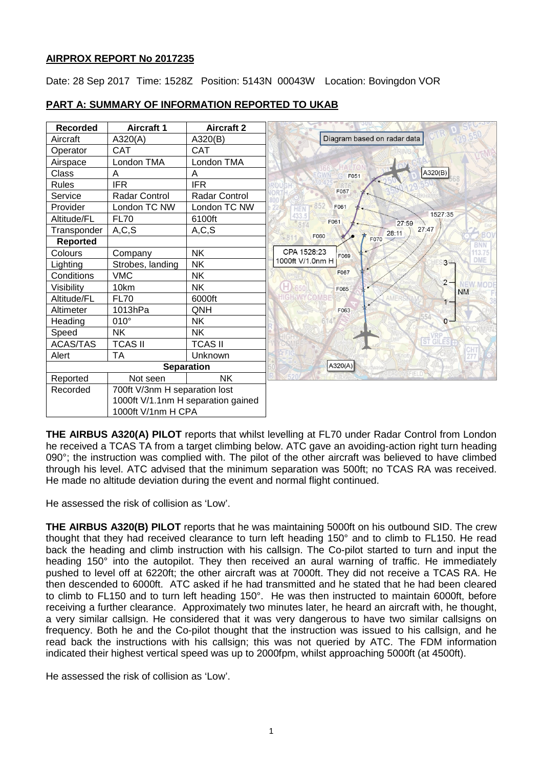## **AIRPROX REPORT No 2017235**

Date: 28 Sep 2017 Time: 1528Z Position: 5143N 00043W Location: Bovingdon VOR

| <b>Recorded</b>   | <b>Aircraft 1</b>                  | <b>Aircraft 2</b> |                                         |
|-------------------|------------------------------------|-------------------|-----------------------------------------|
| Aircraft          | A320(A)                            | A320(B)           | Diagram based on radar data             |
| Operator          | <b>CAT</b>                         | <b>CAT</b>        |                                         |
| Airspace          | London TMA                         | London TMA        |                                         |
| Class             | A                                  | A                 | A320(B)<br>F051                         |
| <b>Rules</b>      | <b>IFR</b>                         | <b>IFR</b>        |                                         |
| Service           | Radar Control                      | Radar Control     | F057                                    |
| Provider          | London TC NW                       | London TC NW      | F061<br>HEN                             |
| Altitude/FL       | <b>FL70</b>                        | 6100ft            | 1527:35<br>F061<br>27:59<br>只生          |
| Transponder       | A, C, S                            | A, C, S           | 27:47<br>28:11<br>F060                  |
| Reported          |                                    |                   | F070<br><b>BNN</b>                      |
| Colours           | Company                            | <b>NK</b>         | CPA 1528:23<br>13.75<br>F069            |
| Lighting          | Strobes, landing                   | <b>NK</b>         | <b>DME</b><br>1000ft V/1.0nm H<br>$3 +$ |
| Conditions        | <b>VMC</b>                         | <b>NK</b>         | F067                                    |
| Visibility        | 10km                               | <b>NK</b>         | $2 -$<br>F065<br><b>NM</b>              |
| Altitude/FL       | <b>FL70</b>                        | 6000ft            | $1 -$                                   |
| Altimeter         | 1013hPa                            | QNH               | F063                                    |
| Heading           | $010^\circ$                        | <b>NK</b>         | $0 -$                                   |
| Speed             | <b>NK</b>                          | <b>NK</b>         |                                         |
| <b>ACAS/TAS</b>   | <b>TCAS II</b>                     | <b>TCAS II</b>    | GIL                                     |
| Alert             | <b>TA</b>                          | Unknown           |                                         |
| <b>Separation</b> |                                    |                   | A320(A)                                 |
| Reported          | Not seen                           | <b>NK</b>         |                                         |
| Recorded          | 700ft V/3nm H separation lost      |                   |                                         |
|                   | 1000ft V/1.1nm H separation gained |                   |                                         |
|                   | 1000ft V/1nm H CPA                 |                   |                                         |

# **PART A: SUMMARY OF INFORMATION REPORTED TO UKAB**

**THE AIRBUS A320(A) PILOT** reports that whilst levelling at FL70 under Radar Control from London he received a TCAS TA from a target climbing below. ATC gave an avoiding-action right turn heading 090°; the instruction was complied with. The pilot of the other aircraft was believed to have climbed through his level. ATC advised that the minimum separation was 500ft; no TCAS RA was received. He made no altitude deviation during the event and normal flight continued.

He assessed the risk of collision as 'Low'.

**THE AIRBUS A320(B) PILOT** reports that he was maintaining 5000ft on his outbound SID. The crew thought that they had received clearance to turn left heading 150° and to climb to FL150. He read back the heading and climb instruction with his callsign. The Co-pilot started to turn and input the heading 150° into the autopilot. They then received an aural warning of traffic. He immediately pushed to level off at 6220ft; the other aircraft was at 7000ft. They did not receive a TCAS RA. He then descended to 6000ft. ATC asked if he had transmitted and he stated that he had been cleared to climb to FL150 and to turn left heading 150°. He was then instructed to maintain 6000ft, before receiving a further clearance. Approximately two minutes later, he heard an aircraft with, he thought, a very similar callsign. He considered that it was very dangerous to have two similar callsigns on frequency. Both he and the Co-pilot thought that the instruction was issued to his callsign, and he read back the instructions with his callsign; this was not queried by ATC. The FDM information indicated their highest vertical speed was up to 2000fpm, whilst approaching 5000ft (at 4500ft).

He assessed the risk of collision as 'Low'.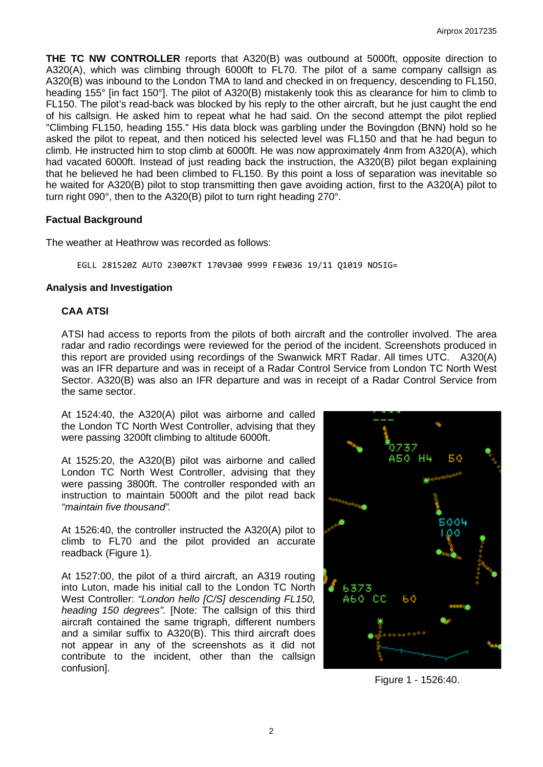**THE TC NW CONTROLLER** reports that A320(B) was outbound at 5000ft, opposite direction to A320(A), which was climbing through 6000ft to FL70. The pilot of a same company callsign as A320(B) was inbound to the London TMA to land and checked in on frequency, descending to FL150, heading 155° [in fact 150°]. The pilot of A320(B) mistakenly took this as clearance for him to climb to FL150. The pilot's read-back was blocked by his reply to the other aircraft, but he just caught the end of his callsign. He asked him to repeat what he had said. On the second attempt the pilot replied "Climbing FL150, heading 155." His data block was garbling under the Bovingdon (BNN) hold so he asked the pilot to repeat, and then noticed his selected level was FL150 and that he had begun to climb. He instructed him to stop climb at 6000ft. He was now approximately 4nm from A320(A), which had vacated 6000ft. Instead of just reading back the instruction, the A320(B) pilot began explaining that he believed he had been climbed to FL150. By this point a loss of separation was inevitable so he waited for A320(B) pilot to stop transmitting then gave avoiding action, first to the A320(A) pilot to turn right 090°, then to the A320(B) pilot to turn right heading 270°.

### **Factual Background**

The weather at Heathrow was recorded as follows:

EGLL 281520Z AUTO 23007KT 170V300 9999 FEW036 19/11 Q1019 NOSIG=

#### **Analysis and Investigation**

## **CAA ATSI**

ATSI had access to reports from the pilots of both aircraft and the controller involved. The area radar and radio recordings were reviewed for the period of the incident. Screenshots produced in this report are provided using recordings of the Swanwick MRT Radar. All times UTC. A320(A) was an IFR departure and was in receipt of a Radar Control Service from London TC North West Sector. A320(B) was also an IFR departure and was in receipt of a Radar Control Service from the same sector.

At 1524:40, the A320(A) pilot was airborne and called the London TC North West Controller, advising that they were passing 3200ft climbing to altitude 6000ft.

At 1525:20, the A320(B) pilot was airborne and called London TC North West Controller, advising that they were passing 3800ft. The controller responded with an instruction to maintain 5000ft and the pilot read back *"maintain five thousand".*

At 1526:40, the controller instructed the A320(A) pilot to climb to FL70 and the pilot provided an accurate readback (Figure 1).

At 1527:00, the pilot of a third aircraft, an A319 routing into Luton, made his initial call to the London TC North West Controller: *"London hello [C/S] descending FL150, heading 150 degrees".* [Note: The callsign of this third aircraft contained the same trigraph, different numbers and a similar suffix to A320(B). This third aircraft does not appear in any of the screenshots as it did not contribute to the incident, other than the callsign confusion].



Figure 1 - 1526:40.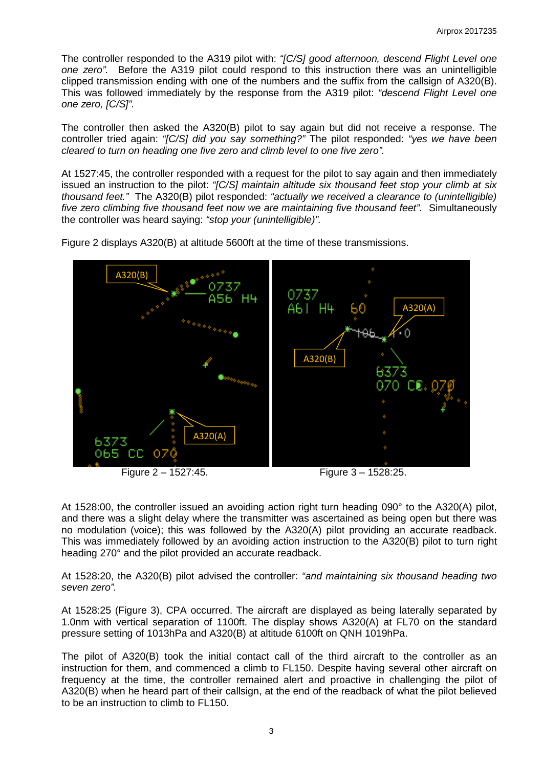The controller responded to the A319 pilot with: *"[C/S] good afternoon, descend Flight Level one one zero".* Before the A319 pilot could respond to this instruction there was an unintelligible clipped transmission ending with one of the numbers and the suffix from the callsign of A320(B). This was followed immediately by the response from the A319 pilot: *"descend Flight Level one one zero, [C/S]".*

The controller then asked the A320(B) pilot to say again but did not receive a response. The controller tried again: *"[C/S] did you say something?"* The pilot responded: *"yes we have been cleared to turn on heading one five zero and climb level to one five zero".* 

At 1527:45, the controller responded with a request for the pilot to say again and then immediately issued an instruction to the pilot: *"[C/S] maintain altitude six thousand feet stop your climb at six thousand feet."* The A320(B) pilot responded: *"actually we received a clearance to (unintelligible) five zero climbing five thousand feet now we are maintaining five thousand feet".* Simultaneously the controller was heard saying: *"stop your (unintelligible)".*

Figure 2 displays A320(B) at altitude 5600ft at the time of these transmissions.



Figure 2 – 1527:45. Figure 3 – 1528:25.

At 1528:00, the controller issued an avoiding action right turn heading 090° to the A320(A) pilot, and there was a slight delay where the transmitter was ascertained as being open but there was no modulation (voice); this was followed by the A320(A) pilot providing an accurate readback. This was immediately followed by an avoiding action instruction to the A320(B) pilot to turn right heading 270° and the pilot provided an accurate readback.

At 1528:20, the A320(B) pilot advised the controller: *"and maintaining six thousand heading two seven zero".*

At 1528:25 (Figure 3), CPA occurred. The aircraft are displayed as being laterally separated by 1.0nm with vertical separation of 1100ft. The display shows A320(A) at FL70 on the standard pressure setting of 1013hPa and A320(B) at altitude 6100ft on QNH 1019hPa.

The pilot of A320(B) took the initial contact call of the third aircraft to the controller as an instruction for them, and commenced a climb to FL150. Despite having several other aircraft on frequency at the time, the controller remained alert and proactive in challenging the pilot of A320(B) when he heard part of their callsign, at the end of the readback of what the pilot believed to be an instruction to climb to FL150.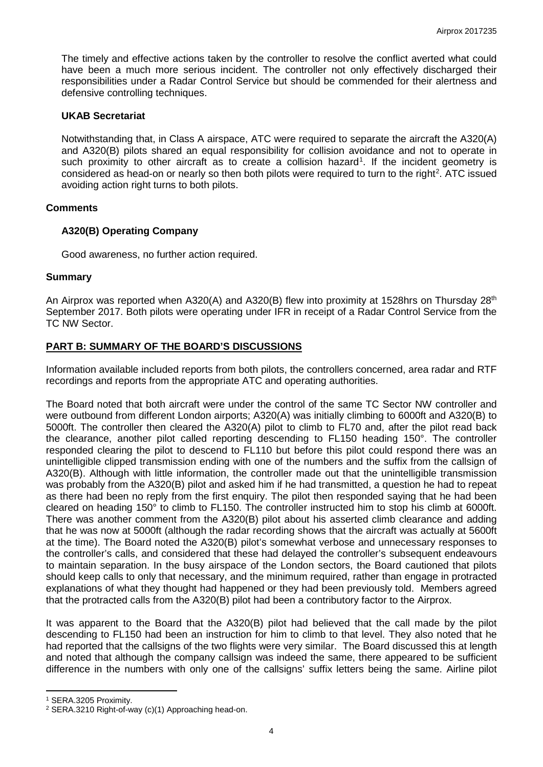The timely and effective actions taken by the controller to resolve the conflict averted what could have been a much more serious incident. The controller not only effectively discharged their responsibilities under a Radar Control Service but should be commended for their alertness and defensive controlling techniques.

### **UKAB Secretariat**

Notwithstanding that, in Class A airspace, ATC were required to separate the aircraft the A320(A) and A320(B) pilots shared an equal responsibility for collision avoidance and not to operate in such proximity to other aircraft as to create a collision hazard<sup>[1](#page-3-0)</sup>. If the incident geometry is considered as head-on or nearly so then both pilots were required to turn to the right<sup>[2](#page-3-1)</sup>. ATC issued avoiding action right turns to both pilots.

#### **Comments**

#### **A320(B) Operating Company**

Good awareness, no further action required.

#### **Summary**

An Airprox was reported when A320(A) and A320(B) flew into proximity at 1528hrs on Thursday 28<sup>th</sup> September 2017. Both pilots were operating under IFR in receipt of a Radar Control Service from the TC NW Sector.

## **PART B: SUMMARY OF THE BOARD'S DISCUSSIONS**

Information available included reports from both pilots, the controllers concerned, area radar and RTF recordings and reports from the appropriate ATC and operating authorities.

The Board noted that both aircraft were under the control of the same TC Sector NW controller and were outbound from different London airports; A320(A) was initially climbing to 6000ft and A320(B) to 5000ft. The controller then cleared the A320(A) pilot to climb to FL70 and, after the pilot read back the clearance, another pilot called reporting descending to FL150 heading 150°. The controller responded clearing the pilot to descend to FL110 but before this pilot could respond there was an unintelligible clipped transmission ending with one of the numbers and the suffix from the callsign of A320(B). Although with little information, the controller made out that the unintelligible transmission was probably from the A320(B) pilot and asked him if he had transmitted, a question he had to repeat as there had been no reply from the first enquiry. The pilot then responded saying that he had been cleared on heading 150° to climb to FL150. The controller instructed him to stop his climb at 6000ft. There was another comment from the A320(B) pilot about his asserted climb clearance and adding that he was now at 5000ft (although the radar recording shows that the aircraft was actually at 5600ft at the time). The Board noted the A320(B) pilot's somewhat verbose and unnecessary responses to the controller's calls, and considered that these had delayed the controller's subsequent endeavours to maintain separation. In the busy airspace of the London sectors, the Board cautioned that pilots should keep calls to only that necessary, and the minimum required, rather than engage in protracted explanations of what they thought had happened or they had been previously told. Members agreed that the protracted calls from the A320(B) pilot had been a contributory factor to the Airprox.

It was apparent to the Board that the A320(B) pilot had believed that the call made by the pilot descending to FL150 had been an instruction for him to climb to that level. They also noted that he had reported that the callsigns of the two flights were very similar. The Board discussed this at length and noted that although the company callsign was indeed the same, there appeared to be sufficient difference in the numbers with only one of the callsigns' suffix letters being the same. Airline pilot

l

<span id="page-3-0"></span><sup>1</sup> SERA.3205 Proximity.

<span id="page-3-1"></span><sup>2</sup> SERA.3210 Right-of-way (c)(1) Approaching head-on.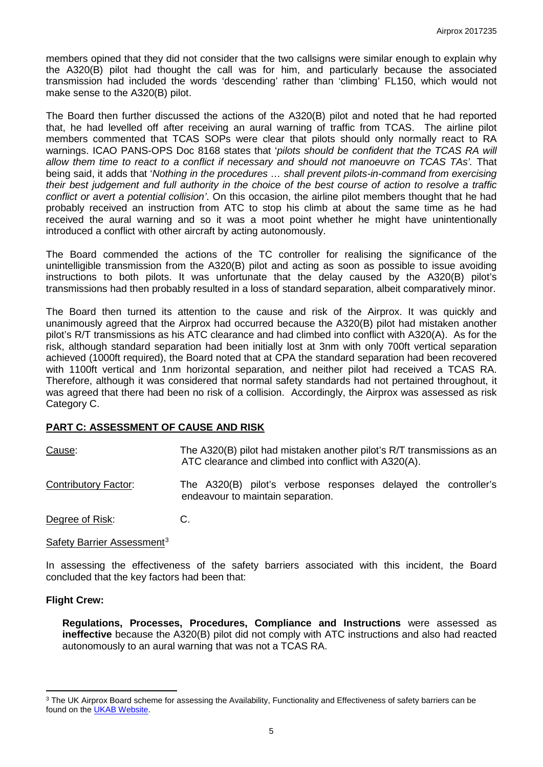members opined that they did not consider that the two callsigns were similar enough to explain why the A320(B) pilot had thought the call was for him, and particularly because the associated transmission had included the words 'descending' rather than 'climbing' FL150, which would not make sense to the A320(B) pilot.

The Board then further discussed the actions of the A320(B) pilot and noted that he had reported that, he had levelled off after receiving an aural warning of traffic from TCAS. The airline pilot members commented that TCAS SOPs were clear that pilots should only normally react to RA warnings. ICAO PANS-OPS Doc 8168 states that '*pilots should be confident that the TCAS RA will allow them time to react to a conflict if necessary and should not manoeuvre on TCAS TAs'.* That being said, it adds that '*Nothing in the procedures … shall prevent pilots-in-command from exercising their best judgement and full authority in the choice of the best course of action to resolve a traffic conflict or avert a potential collision'*. On this occasion, the airline pilot members thought that he had probably received an instruction from ATC to stop his climb at about the same time as he had received the aural warning and so it was a moot point whether he might have unintentionally introduced a conflict with other aircraft by acting autonomously.

The Board commended the actions of the TC controller for realising the significance of the unintelligible transmission from the A320(B) pilot and acting as soon as possible to issue avoiding instructions to both pilots. It was unfortunate that the delay caused by the A320(B) pilot's transmissions had then probably resulted in a loss of standard separation, albeit comparatively minor.

The Board then turned its attention to the cause and risk of the Airprox. It was quickly and unanimously agreed that the Airprox had occurred because the A320(B) pilot had mistaken another pilot's R/T transmissions as his ATC clearance and had climbed into conflict with A320(A). As for the risk, although standard separation had been initially lost at 3nm with only 700ft vertical separation achieved (1000ft required), the Board noted that at CPA the standard separation had been recovered with 1100ft vertical and 1nm horizontal separation, and neither pilot had received a TCAS RA. Therefore, although it was considered that normal safety standards had not pertained throughout, it was agreed that there had been no risk of a collision. Accordingly, the Airprox was assessed as risk Category C.

## **PART C: ASSESSMENT OF CAUSE AND RISK**

| Cause:               | The A320(B) pilot had mistaken another pilot's R/T transmissions as an<br>ATC clearance and climbed into conflict with A320(A). |
|----------------------|---------------------------------------------------------------------------------------------------------------------------------|
| Contributory Factor: | The A320(B) pilot's verbose responses delayed the controller's<br>endeavour to maintain separation.                             |
| Degree of Risk:      |                                                                                                                                 |

#### Safety Barrier Assessment<sup>[3](#page-4-0)</sup>

In assessing the effectiveness of the safety barriers associated with this incident, the Board concluded that the key factors had been that:

#### **Flight Crew:**

l

**Regulations, Processes, Procedures, Compliance and Instructions** were assessed as **ineffective** because the A320(B) pilot did not comply with ATC instructions and also had reacted autonomously to an aural warning that was not a TCAS RA.

<span id="page-4-0"></span><sup>&</sup>lt;sup>3</sup> The UK Airprox Board scheme for assessing the Availability, Functionality and Effectiveness of safety barriers can be found on the [UKAB Website.](http://www.airproxboard.org.uk/Learn-more/Airprox-Barrier-Assessment/)